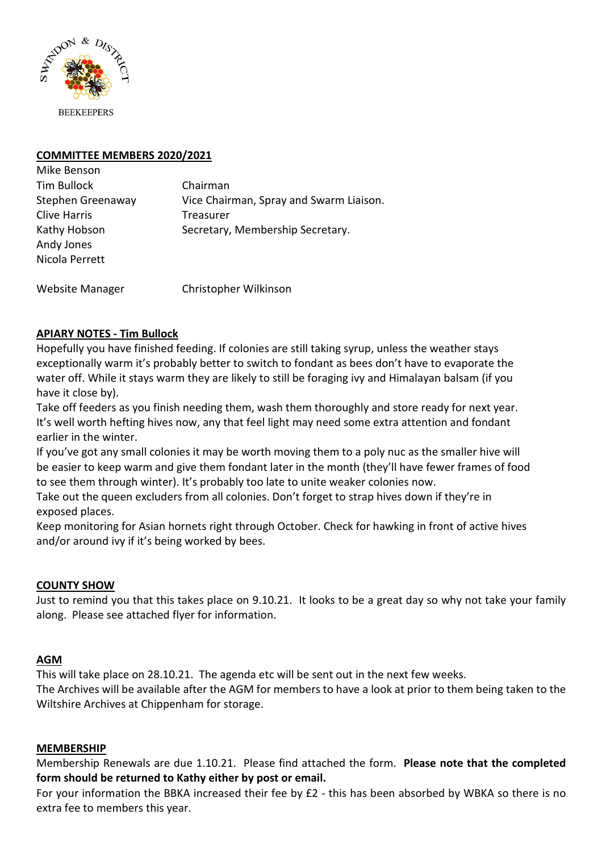

# **COMMITTEE MEMBERS 2020/2021**

| Mike Benson         |                                         |
|---------------------|-----------------------------------------|
| Tim Bullock         | Chairman                                |
| Stephen Greenaway   | Vice Chairman, Spray and Swarm Liaison. |
| <b>Clive Harris</b> | Treasurer                               |
| Kathy Hobson        | Secretary, Membership Secretary.        |
| Andy Jones          |                                         |
| Nicola Perrett      |                                         |
|                     |                                         |

Website Manager **Christopher Wilkinson** 

# **APIARY NOTES - Tim Bullock**

Hopefully you have finished feeding. If colonies are still taking syrup, unless the weather stays exceptionally warm it's probably better to switch to fondant as bees don't have to evaporate the water off. While it stays warm they are likely to still be foraging ivy and Himalayan balsam (if you have it close by).

Take off feeders as you finish needing them, wash them thoroughly and store ready for next year. It's well worth hefting hives now, any that feel light may need some extra attention and fondant earlier in the winter.

If you've got any small colonies it may be worth moving them to a poly nuc as the smaller hive will be easier to keep warm and give them fondant later in the month (they'll have fewer frames of food to see them through winter). It's probably too late to unite weaker colonies now.

Take out the queen excluders from all colonies. Don't forget to strap hives down if they're in exposed places.

Keep monitoring for Asian hornets right through October. Check for hawking in front of active hives and/or around ivy if it's being worked by bees.

## **COUNTY SHOW**

Just to remind you that this takes place on 9.10.21. It looks to be a great day so why not take your family along. Please see attached flyer for information.

#### **AGM**

This will take place on 28.10.21. The agenda etc will be sent out in the next few weeks. The Archives will be available after the AGM for members to have a look at prior to them being taken to the Wiltshire Archives at Chippenham for storage.

#### **MEMBERSHIP**

Membership Renewals are due 1.10.21. Please find attached the form. **Please note that the completed form should be returned to Kathy either by post or email.** 

For your information the BBKA increased their fee by £2 - this has been absorbed by WBKA so there is no extra fee to members this year.